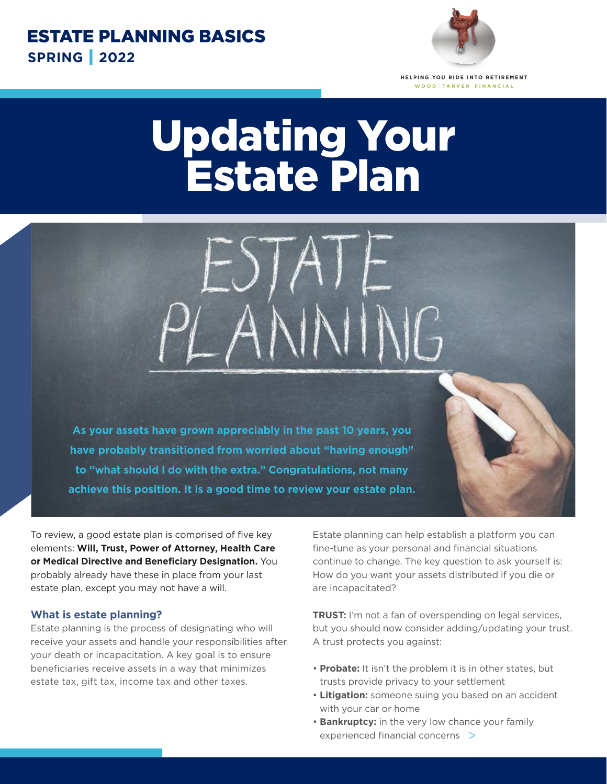

HELPING YOU RIDE INTO RETIREMENT WOOD | TARVER FINANCIAL

## Updating Your Estate Plan

**As your assets have grown appreciably in the past 10 years, you have probably transitioned from worried about "having enough" to "what should I do with the extra." Congratulations, not many achieve this position. It is a good time to review your estate plan.**

To review, a good estate plan is comprised of five key elements: **Will, Trust, Power of Attorney, Health Care or Medical Directive and Beneficiary Designation.** You probably already have these in place from your last estate plan, except you may not have a will.

## **What is estate planning?**

Estate planning is the process of designating who will receive your assets and handle your responsibilities after your death or incapacitation. A key goal is to ensure beneficiaries receive assets in a way that minimizes estate tax, gift tax, income tax and other taxes.

Estate planning can help establish a platform you can fine-tune as your personal and financial situations continue to change. The key question to ask yourself is: How do you want your assets distributed if you die or are incapacitated?

**TRUST:** I'm not a fan of overspending on legal services, but you should now consider adding/updating your trust. A trust protects you against:

- **Probate:** It isn't the problem it is in other states, but trusts provide privacy to your settlement
- **Litigation:** someone suing you based on an accident with your car or home
- **Bankruptcy:** in the very low chance your family experienced financial concerns >